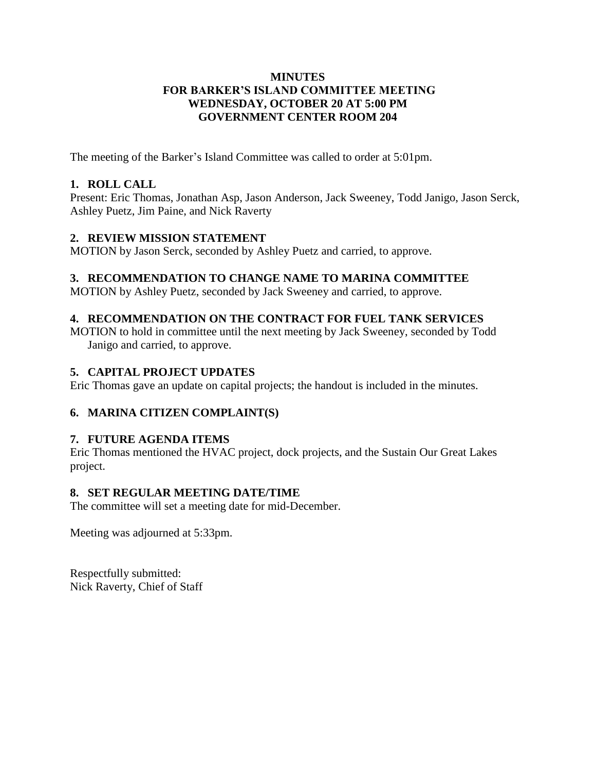## **MINUTES FOR BARKER'S ISLAND COMMITTEE MEETING WEDNESDAY, OCTOBER 20 AT 5:00 PM GOVERNMENT CENTER ROOM 204**

The meeting of the Barker's Island Committee was called to order at 5:01pm.

## **1. ROLL CALL**

Present: Eric Thomas, Jonathan Asp, Jason Anderson, Jack Sweeney, Todd Janigo, Jason Serck, Ashley Puetz, Jim Paine, and Nick Raverty

## **2. REVIEW MISSION STATEMENT**

MOTION by Jason Serck, seconded by Ashley Puetz and carried, to approve.

## **3. RECOMMENDATION TO CHANGE NAME TO MARINA COMMITTEE**

MOTION by Ashley Puetz, seconded by Jack Sweeney and carried, to approve.

## **4. RECOMMENDATION ON THE CONTRACT FOR FUEL TANK SERVICES**

MOTION to hold in committee until the next meeting by Jack Sweeney, seconded by Todd Janigo and carried, to approve.

#### **5. CAPITAL PROJECT UPDATES**

Eric Thomas gave an update on capital projects; the handout is included in the minutes.

## **6. MARINA CITIZEN COMPLAINT(S)**

#### **7. FUTURE AGENDA ITEMS**

Eric Thomas mentioned the HVAC project, dock projects, and the Sustain Our Great Lakes project.

#### **8. SET REGULAR MEETING DATE/TIME**

The committee will set a meeting date for mid-December.

Meeting was adjourned at 5:33pm.

Respectfully submitted: Nick Raverty, Chief of Staff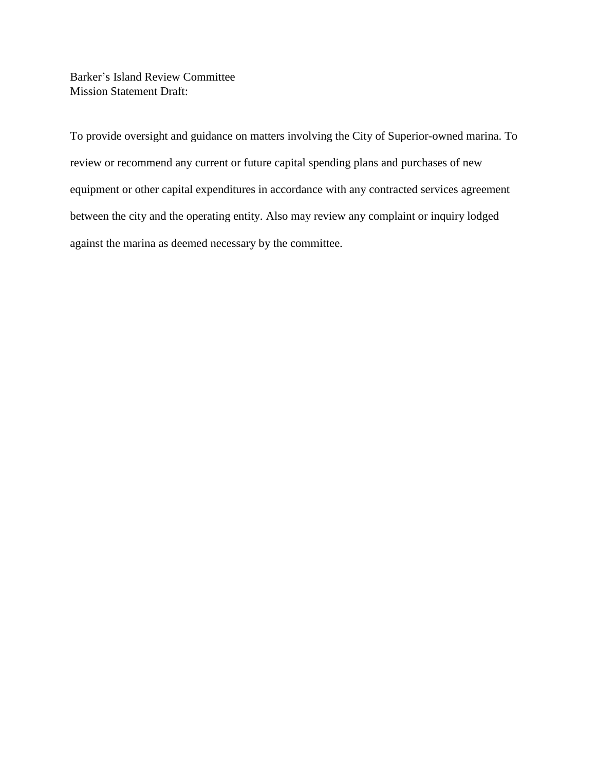Barker's Island Review Committee Mission Statement Draft:

To provide oversight and guidance on matters involving the City of Superior-owned marina. To review or recommend any current or future capital spending plans and purchases of new equipment or other capital expenditures in accordance with any contracted services agreement between the city and the operating entity. Also may review any complaint or inquiry lodged against the marina as deemed necessary by the committee.